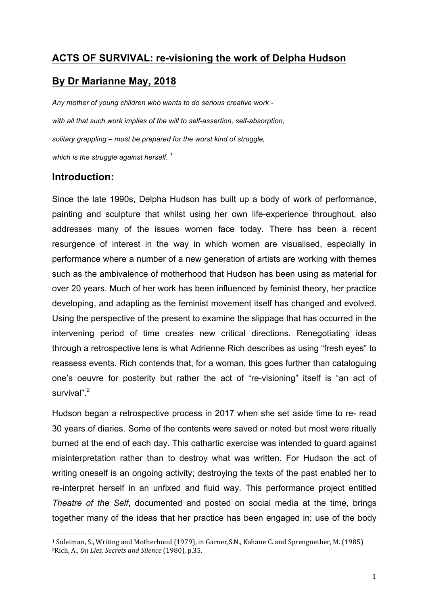# **ACTS OF SURVIVAL: re-visioning the work of Delpha Hudson**

## **By Dr Marianne May, 2018**

*Any mother of young children who wants to do serious creative work with all that such work implies of the will to self-assertion, self-absorption, solitary grappling – must be prepared for the worst kind of struggle, which is the struggle against herself. 1*

#### **Introduction:**

 

Since the late 1990s, Delpha Hudson has built up a body of work of performance, painting and sculpture that whilst using her own life-experience throughout, also addresses many of the issues women face today. There has been a recent resurgence of interest in the way in which women are visualised, especially in performance where a number of a new generation of artists are working with themes such as the ambivalence of motherhood that Hudson has been using as material for over 20 years. Much of her work has been influenced by feminist theory, her practice developing, and adapting as the feminist movement itself has changed and evolved. Using the perspective of the present to examine the slippage that has occurred in the intervening period of time creates new critical directions. Renegotiating ideas through a retrospective lens is what Adrienne Rich describes as using "fresh eyes" to reassess events. Rich contends that, for a woman, this goes further than cataloguing one's oeuvre for posterity but rather the act of "re-visioning" itself is "an act of survival".<sup>2</sup>

Hudson began a retrospective process in 2017 when she set aside time to re- read 30 years of diaries. Some of the contents were saved or noted but most were ritually burned at the end of each day. This cathartic exercise was intended to guard against misinterpretation rather than to destroy what was written. For Hudson the act of writing oneself is an ongoing activity; destroying the texts of the past enabled her to re-interpret herself in an unfixed and fluid way. This performance project entitled *Theatre of the Self*, documented and posted on social media at the time, brings together many of the ideas that her practice has been engaged in; use of the body

<sup>&</sup>lt;sup>1</sup> Suleiman, S., Writing and Motherhood (1979), in Garner, S.N., Kahane C. and Sprengnether, M. (1985) 2Rich, A., *On Lies, Secrets and Silence* (1980), p.35.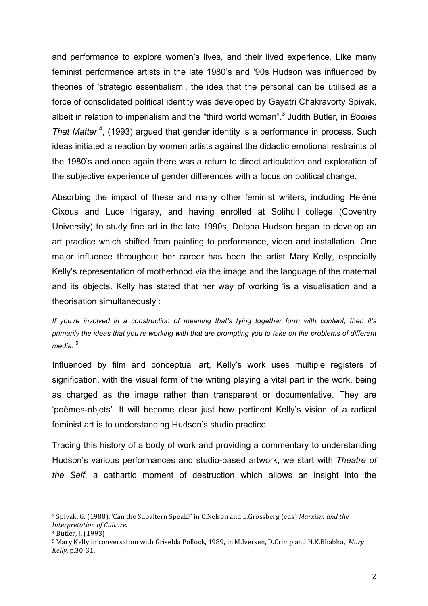and performance to explore women's lives, and their lived experience. Like many feminist performance artists in the late 1980's and '90s Hudson was influenced by theories of 'strategic essentialism', the idea that the personal can be utilised as a force of consolidated political identity was developed by Gayatri Chakravorty Spivak, albeit in relation to imperialism and the "third world woman".3 Judith Butler, in *Bodies*  That Matter<sup>4</sup>, (1993) argued that gender identity is a performance in process. Such ideas initiated a reaction by women artists against the didactic emotional restraints of the 1980's and once again there was a return to direct articulation and exploration of the subjective experience of gender differences with a focus on political change.

Absorbing the impact of these and many other feminist writers, including Helène Cixous and Luce Irigaray, and having enrolled at Solihull college (Coventry University) to study fine art in the late 1990s, Delpha Hudson began to develop an art practice which shifted from painting to performance, video and installation. One major influence throughout her career has been the artist Mary Kelly, especially Kelly's representation of motherhood via the image and the language of the maternal and its objects. Kelly has stated that her way of working 'is a visualisation and a theorisation simultaneously':

*If you're involved in a construction of meaning that's tying together form with content, then it's primarily the ideas that you're working with that are prompting you to take on the problems of different media*. <sup>5</sup>

Influenced by film and conceptual art, Kelly's work uses multiple registers of signification, with the visual form of the writing playing a vital part in the work, being as charged as the image rather than transparent or documentative. They are 'poèmes-objets'. It will become clear just how pertinent Kelly's vision of a radical feminist art is to understanding Hudson's studio practice.

Tracing this history of a body of work and providing a commentary to understanding Hudson's various performances and studio-based artwork, we start with *Theatre of the Self*, a cathartic moment of destruction which allows an insight into the

<sup>&</sup>lt;sup>3</sup> Spivak, G. (1988). 'Can the Subaltern Speak?' in C.Nelson and L.Grossberg (eds) *Marxism and the Interpretation of Culture*.

<sup>&</sup>lt;sup>4</sup> Butler, J. (1993)

<sup>&</sup>lt;sup>5</sup> Mary Kelly in conversation with Griselda Pollock, 1989, in M.Iversen, D.Crimp and H.K.Bhabha, Mary *Kelly*, p.30-31.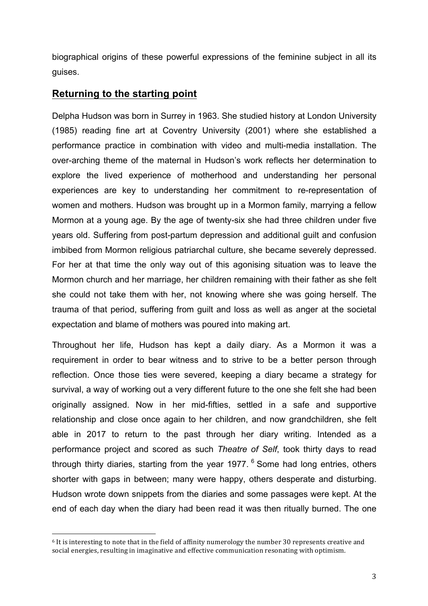biographical origins of these powerful expressions of the feminine subject in all its guises.

## **Returning to the starting point**

Delpha Hudson was born in Surrey in 1963. She studied history at London University (1985) reading fine art at Coventry University (2001) where she established a performance practice in combination with video and multi-media installation. The over-arching theme of the maternal in Hudson's work reflects her determination to explore the lived experience of motherhood and understanding her personal experiences are key to understanding her commitment to re-representation of women and mothers. Hudson was brought up in a Mormon family, marrying a fellow Mormon at a young age. By the age of twenty-six she had three children under five years old. Suffering from post-partum depression and additional guilt and confusion imbibed from Mormon religious patriarchal culture, she became severely depressed. For her at that time the only way out of this agonising situation was to leave the Mormon church and her marriage, her children remaining with their father as she felt she could not take them with her, not knowing where she was going herself. The trauma of that period, suffering from guilt and loss as well as anger at the societal expectation and blame of mothers was poured into making art.

Throughout her life, Hudson has kept a daily diary. As a Mormon it was a requirement in order to bear witness and to strive to be a better person through reflection. Once those ties were severed, keeping a diary became a strategy for survival, a way of working out a very different future to the one she felt she had been originally assigned. Now in her mid-fifties, settled in a safe and supportive relationship and close once again to her children, and now grandchildren, she felt able in 2017 to return to the past through her diary writing. Intended as a performance project and scored as such *Theatre of Self*, took thirty days to read through thirty diaries, starting from the year 1977.  $6$  Some had long entries, others shorter with gaps in between; many were happy, others desperate and disturbing. Hudson wrote down snippets from the diaries and some passages were kept. At the end of each day when the diary had been read it was then ritually burned. The one

 $6$  It is interesting to note that in the field of affinity numerology the number 30 represents creative and social energies, resulting in imaginative and effective communication resonating with optimism.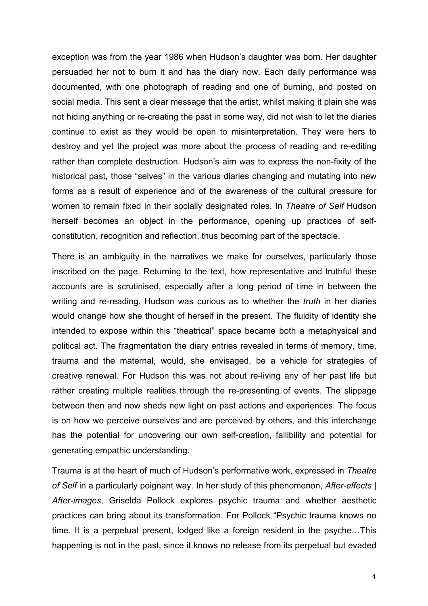exception was from the year 1986 when Hudson's daughter was born. Her daughter persuaded her not to burn it and has the diary now. Each daily performance was documented, with one photograph of reading and one of burning, and posted on social media. This sent a clear message that the artist, whilst making it plain she was not hiding anything or re-creating the past in some way, did not wish to let the diaries continue to exist as they would be open to misinterpretation. They were hers to destroy and yet the project was more about the process of reading and re-editing rather than complete destruction. Hudson's aim was to express the non-fixity of the historical past, those "selves" in the various diaries changing and mutating into new forms as a result of experience and of the awareness of the cultural pressure for women to remain fixed in their socially designated roles. In *Theatre of Self* Hudson herself becomes an object in the performance, opening up practices of selfconstitution, recognition and reflection, thus becoming part of the spectacle.

There is an ambiguity in the narratives we make for ourselves, particularly those inscribed on the page. Returning to the text, how representative and truthful these accounts are is scrutinised, especially after a long period of time in between the writing and re-reading. Hudson was curious as to whether the *truth* in her diaries would change how she thought of herself in the present. The fluidity of identity she intended to expose within this "theatrical" space became both a metaphysical and political act. The fragmentation the diary entries revealed in terms of memory, time, trauma and the maternal, would, she envisaged, be a vehicle for strategies of creative renewal. For Hudson this was not about re-living any of her past life but rather creating multiple realities through the re-presenting of events. The slippage between then and now sheds new light on past actions and experiences. The focus is on how we perceive ourselves and are perceived by others, and this interchange has the potential for uncovering our own self-creation, fallibility and potential for generating empathic understanding.

Trauma is at the heart of much of Hudson's performative work, expressed in *Theatre of Self* in a particularly poignant way. In her study of this phenomenon, *After-effects | After-images*, Griselda Pollock explores psychic trauma and whether aesthetic practices can bring about its transformation. For Pollock "Psychic trauma knows no time. It is a perpetual present, lodged like a foreign resident in the psyche…This happening is not in the past, since it knows no release from its perpetual but evaded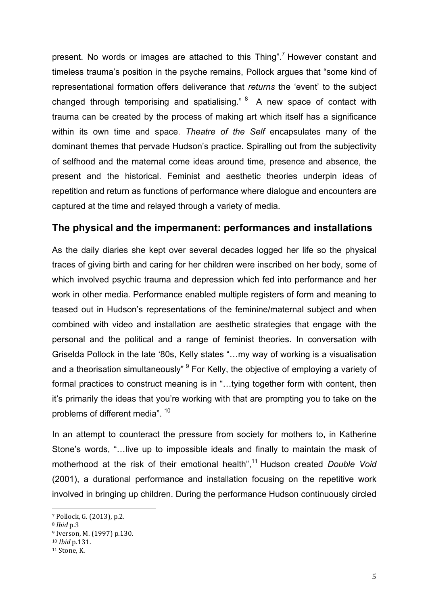present. No words or images are attached to this Thing".<sup>7</sup> However constant and timeless trauma's position in the psyche remains, Pollock argues that "some kind of representational formation offers deliverance that *returns* the 'event' to the subject changed through temporising and spatialising." <sup>8</sup> A new space of contact with trauma can be created by the process of making art which itself has a significance within its own time and space. *Theatre of the Self* encapsulates many of the dominant themes that pervade Hudson's practice. Spiralling out from the subjectivity of selfhood and the maternal come ideas around time, presence and absence, the present and the historical. Feminist and aesthetic theories underpin ideas of repetition and return as functions of performance where dialogue and encounters are captured at the time and relayed through a variety of media.

## **The physical and the impermanent: performances and installations**

As the daily diaries she kept over several decades logged her life so the physical traces of giving birth and caring for her children were inscribed on her body, some of which involved psychic trauma and depression which fed into performance and her work in other media. Performance enabled multiple registers of form and meaning to teased out in Hudson's representations of the feminine/maternal subject and when combined with video and installation are aesthetic strategies that engage with the personal and the political and a range of feminist theories. In conversation with Griselda Pollock in the late '80s, Kelly states "…my way of working is a visualisation and a theorisation simultaneously"  $9$  For Kelly, the objective of employing a variety of formal practices to construct meaning is in "…tying together form with content, then it's primarily the ideas that you're working with that are prompting you to take on the problems of different media". 10

In an attempt to counteract the pressure from society for mothers to, in Katherine Stone's words, "…live up to impossible ideals and finally to maintain the mask of motherhood at the risk of their emotional health",<sup>11</sup> Hudson created *Double Void*  (2001), a durational performance and installation focusing on the repetitive work involved in bringing up children. During the performance Hudson continuously circled

<sup>&</sup>lt;sup>7</sup> Pollock, G. (2013), p.2.

<sup>8</sup> *Ibid* p.3

<sup>&</sup>lt;sup>9</sup> Iverson, M. (1997) p.130.

<sup>10</sup> *Ibid* p.131.

 $11$  Stone, K.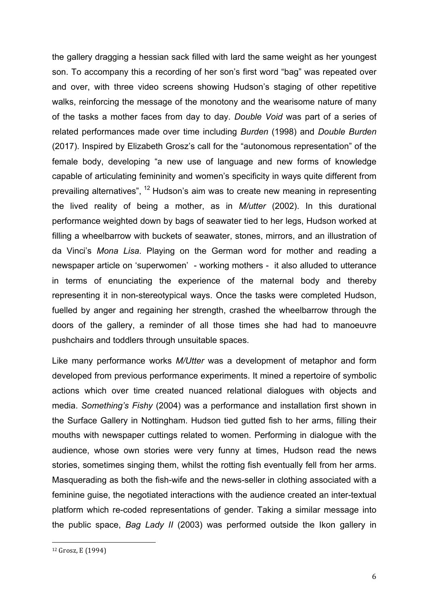the gallery dragging a hessian sack filled with lard the same weight as her youngest son. To accompany this a recording of her son's first word "bag" was repeated over and over, with three video screens showing Hudson's staging of other repetitive walks, reinforcing the message of the monotony and the wearisome nature of many of the tasks a mother faces from day to day. *Double Void* was part of a series of related performances made over time including *Burden* (1998) and *Double Burden*  (2017). Inspired by Elizabeth Grosz's call for the "autonomous representation" of the female body, developing "a new use of language and new forms of knowledge capable of articulating femininity and women's specificity in ways quite different from prevailing alternatives", <sup>12</sup> Hudson's aim was to create new meaning in representing the lived reality of being a mother, as in *M/utter* (2002). In this durational performance weighted down by bags of seawater tied to her legs, Hudson worked at filling a wheelbarrow with buckets of seawater, stones, mirrors, and an illustration of da Vinci's *Mona Lisa*. Playing on the German word for mother and reading a newspaper article on 'superwomen' - working mothers - it also alluded to utterance in terms of enunciating the experience of the maternal body and thereby representing it in non-stereotypical ways. Once the tasks were completed Hudson, fuelled by anger and regaining her strength, crashed the wheelbarrow through the doors of the gallery, a reminder of all those times she had had to manoeuvre pushchairs and toddlers through unsuitable spaces.

Like many performance works *M/Utter* was a development of metaphor and form developed from previous performance experiments. It mined a repertoire of symbolic actions which over time created nuanced relational dialogues with objects and media. *Something's Fishy* (2004) was a performance and installation first shown in the Surface Gallery in Nottingham. Hudson tied gutted fish to her arms, filling their mouths with newspaper cuttings related to women. Performing in dialogue with the audience, whose own stories were very funny at times, Hudson read the news stories, sometimes singing them, whilst the rotting fish eventually fell from her arms. Masquerading as both the fish-wife and the news-seller in clothing associated with a feminine guise, the negotiated interactions with the audience created an inter-textual platform which re-coded representations of gender. Taking a similar message into the public space, *Bag Lady II* (2003) was performed outside the Ikon gallery in

<u> 1989 - Johann Stein, marwolaethau a bh</u>

<sup>&</sup>lt;sup>12</sup> Grosz, E (1994)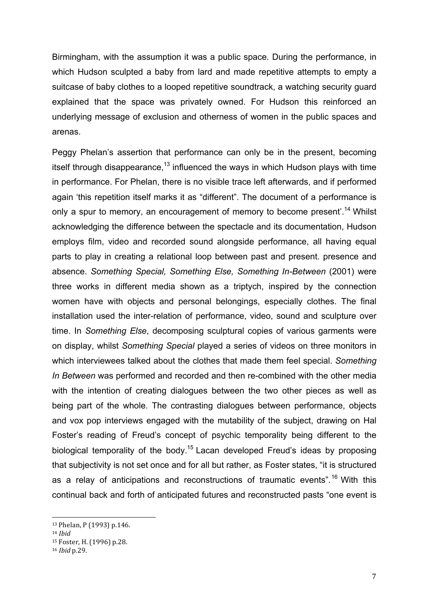Birmingham, with the assumption it was a public space. During the performance, in which Hudson sculpted a baby from lard and made repetitive attempts to empty a suitcase of baby clothes to a looped repetitive soundtrack, a watching security guard explained that the space was privately owned. For Hudson this reinforced an underlying message of exclusion and otherness of women in the public spaces and arenas.

Peggy Phelan's assertion that performance can only be in the present, becoming itself through disappearance.<sup>13</sup> influenced the ways in which Hudson plays with time in performance. For Phelan, there is no visible trace left afterwards, and if performed again 'this repetition itself marks it as "different". The document of a performance is only a spur to memory, an encouragement of memory to become present<sup>', 14</sup> Whilst acknowledging the difference between the spectacle and its documentation, Hudson employs film, video and recorded sound alongside performance, all having equal parts to play in creating a relational loop between past and present. presence and absence. *Something Special, Something Else, Something In-Between* (2001) were three works in different media shown as a triptych, inspired by the connection women have with objects and personal belongings, especially clothes. The final installation used the inter-relation of performance, video, sound and sculpture over time. In *Something Else*, decomposing sculptural copies of various garments were on display, whilst *Something Special* played a series of videos on three monitors in which interviewees talked about the clothes that made them feel special. *Something In Between* was performed and recorded and then re-combined with the other media with the intention of creating dialogues between the two other pieces as well as being part of the whole. The contrasting dialogues between performance, objects and vox pop interviews engaged with the mutability of the subject, drawing on Hal Foster's reading of Freud's concept of psychic temporality being different to the biological temporality of the body.<sup>15</sup> Lacan developed Freud's ideas by proposing that subjectivity is not set once and for all but rather, as Foster states, "it is structured as a relay of anticipations and reconstructions of traumatic events".<sup>16</sup> With this continual back and forth of anticipated futures and reconstructed pasts "one event is

<sup>13</sup> Phelan, P (1993) p.146.

<sup>14</sup> *Ibid*

<sup>&</sup>lt;sup>15</sup> Foster, H. (1996) p.28.

<sup>16</sup> *Ibid* p.29.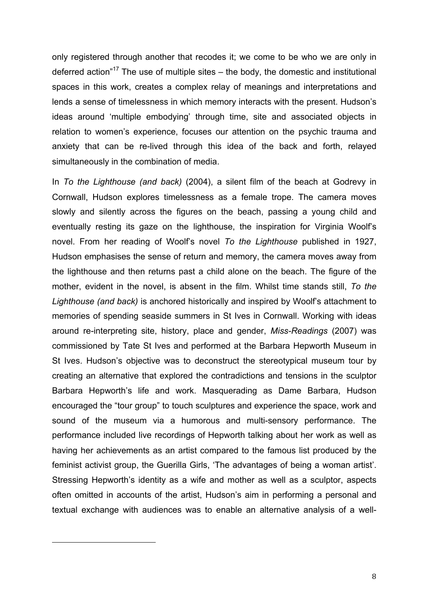only registered through another that recodes it; we come to be who we are only in deferred action<sup>"17</sup> The use of multiple sites  $-$  the body, the domestic and institutional spaces in this work, creates a complex relay of meanings and interpretations and lends a sense of timelessness in which memory interacts with the present. Hudson's ideas around 'multiple embodying' through time, site and associated objects in relation to women's experience, focuses our attention on the psychic trauma and anxiety that can be re-lived through this idea of the back and forth, relayed simultaneously in the combination of media.

In *To the Lighthouse (and back)* (2004), a silent film of the beach at Godrevy in Cornwall, Hudson explores timelessness as a female trope. The camera moves slowly and silently across the figures on the beach, passing a young child and eventually resting its gaze on the lighthouse, the inspiration for Virginia Woolf's novel. From her reading of Woolf's novel *To the Lighthouse* published in 1927, Hudson emphasises the sense of return and memory, the camera moves away from the lighthouse and then returns past a child alone on the beach. The figure of the mother, evident in the novel, is absent in the film. Whilst time stands still, *To the Lighthouse (and back)* is anchored historically and inspired by Woolf's attachment to memories of spending seaside summers in St Ives in Cornwall. Working with ideas around re-interpreting site, history, place and gender, *Miss-Readings* (2007) was commissioned by Tate St Ives and performed at the Barbara Hepworth Museum in St Ives. Hudson's objective was to deconstruct the stereotypical museum tour by creating an alternative that explored the contradictions and tensions in the sculptor Barbara Hepworth's life and work. Masquerading as Dame Barbara, Hudson encouraged the "tour group" to touch sculptures and experience the space, work and sound of the museum via a humorous and multi-sensory performance. The performance included live recordings of Hepworth talking about her work as well as having her achievements as an artist compared to the famous list produced by the feminist activist group, the Guerilla Girls, 'The advantages of being a woman artist'. Stressing Hepworth's identity as a wife and mother as well as a sculptor, aspects often omitted in accounts of the artist, Hudson's aim in performing a personal and textual exchange with audiences was to enable an alternative analysis of a well-

<u> 1989 - Johann Stein, marwolaethau a bh</u>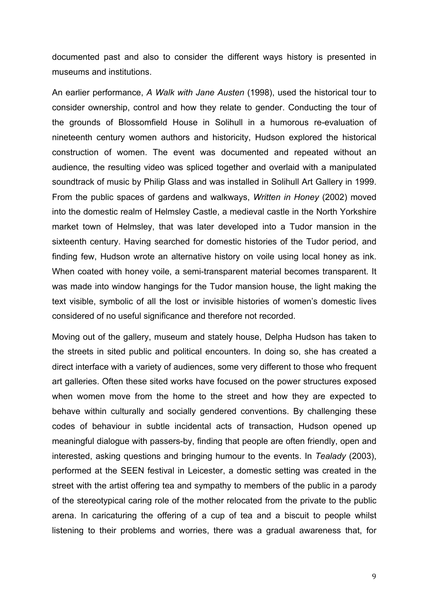documented past and also to consider the different ways history is presented in museums and institutions.

An earlier performance, *A Walk with Jane Austen* (1998), used the historical tour to consider ownership, control and how they relate to gender. Conducting the tour of the grounds of Blossomfield House in Solihull in a humorous re-evaluation of nineteenth century women authors and historicity, Hudson explored the historical construction of women. The event was documented and repeated without an audience, the resulting video was spliced together and overlaid with a manipulated soundtrack of music by Philip Glass and was installed in Solihull Art Gallery in 1999. From the public spaces of gardens and walkways, *Written in Honey* (2002) moved into the domestic realm of Helmsley Castle, a medieval castle in the North Yorkshire market town of Helmsley, that was later developed into a Tudor mansion in the sixteenth century. Having searched for domestic histories of the Tudor period, and finding few, Hudson wrote an alternative history on voile using local honey as ink. When coated with honey voile, a semi-transparent material becomes transparent. It was made into window hangings for the Tudor mansion house, the light making the text visible, symbolic of all the lost or invisible histories of women's domestic lives considered of no useful significance and therefore not recorded.

Moving out of the gallery, museum and stately house, Delpha Hudson has taken to the streets in sited public and political encounters. In doing so, she has created a direct interface with a variety of audiences, some very different to those who frequent art galleries. Often these sited works have focused on the power structures exposed when women move from the home to the street and how they are expected to behave within culturally and socially gendered conventions. By challenging these codes of behaviour in subtle incidental acts of transaction, Hudson opened up meaningful dialogue with passers-by, finding that people are often friendly, open and interested, asking questions and bringing humour to the events. In *Tealady* (2003), performed at the SEEN festival in Leicester, a domestic setting was created in the street with the artist offering tea and sympathy to members of the public in a parody of the stereotypical caring role of the mother relocated from the private to the public arena. In caricaturing the offering of a cup of tea and a biscuit to people whilst listening to their problems and worries, there was a gradual awareness that, for